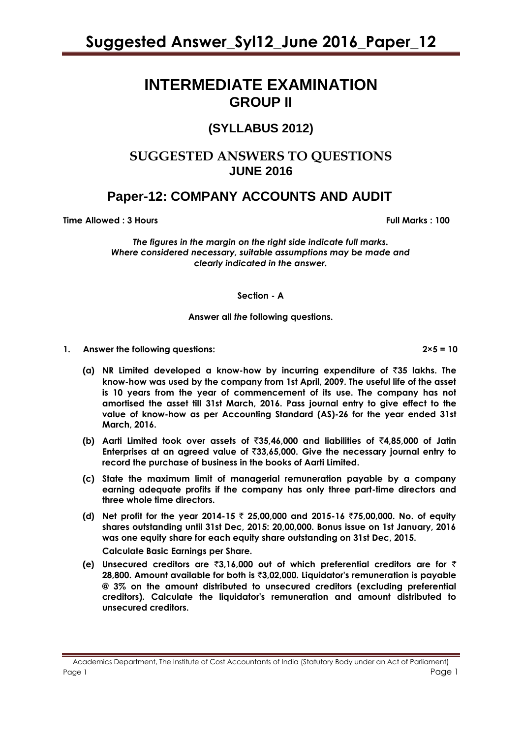# **INTERMEDIATE EXAMINATION GROUP II**

# **(SYLLABUS 2012)**

# **SUGGESTED ANSWERS TO QUESTIONS JUNE 2016**

# **Paper-12: COMPANY ACCOUNTS AND AUDIT**

**Time Allowed : 3 Hours Full Marks : 100** 

*The figures in the margin on the right side indicate full marks. Where considered necessary, suitable assumptions may be made and clearly indicated in the answer.*

**Section - A**

#### **Answer all** *the* **following questions.**

- **1. Answer the following questions: 2×5 = 10**
	- **(a)** NR Limited developed a know-how by incurring expenditure of  $\bar{z}$ 35 lakhs. The **know-how was used by the company from 1st April, 2009. The useful life of the asset is 10 years from the year of commencement of its use. The company has not amortised the asset till 31st March, 2016. Pass journal entry to give effect to the value of know-how as per Accounting Standard (AS)-26 for the year ended 31st March, 2016.**
	- **(b) Aarti Limited took over assets of** `**35,46,000 and liabilities of** `**4,85,000 of Jatin Enterprises at an agreed value of** `**33,65,000. Give the necessary journal entry to record the purchase of business in the books of Aarti Limited.**
	- **(c) State the maximum limit of managerial remuneration payable by a company earning adequate profits if the company has only three part-time directors and three whole time directors.**
	- **(d) Net profit for the year 2014-15** ` **25,00,000 and 2015-16** `**75,00,000. No. of equity shares outstanding until 31st Dec, 2015: 20,00,000. Bonus issue on 1st January, 2016 was one equity share for each equity share outstanding on 31st Dec, 2015. Calculate Basic Earnings per Share.**
	- **(e) Unsecured creditors are** `**3,16,000 out of which preferential creditors are for** ` **28,800. Amount available for both is** `**3,02,000. Liquidator's remuneration is payable @ 3% on the amount distributed to unsecured creditors (excluding preferential creditors). Calculate the liquidator's remuneration and amount distributed to unsecured creditors.**

Academics Department, The Institute of Cost Accountants of India (Statutory Body under an Act of Parliament) Page 1 Page 1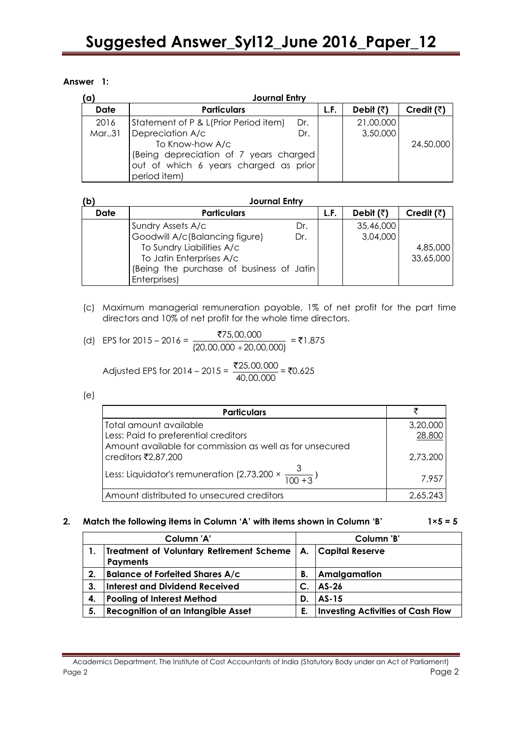## **Answer 1:**

| (a)         | <b>Journal Entry</b>                   |     |      |                   |                    |
|-------------|----------------------------------------|-----|------|-------------------|--------------------|
| <b>Date</b> | <b>Particulars</b>                     |     | L.F. | Debit $(\bar{z})$ | Credit $(\bar{z})$ |
| 2016        | Statement of P & L(Prior Period item)  | Dr. |      | 21,00,000         |                    |
| Mar., 31    | Depreciation A/c                       | Dr. |      | 3,50,000          |                    |
|             | To Know-how A/c                        |     |      |                   | 24,50,000          |
|             | (Being depreciation of 7 years charged |     |      |                   |                    |
|             | out of which 6 years charged as prior  |     |      |                   |                    |
|             | period item)                           |     |      |                   |                    |

| (b)         | <b>Journal Entry</b>                      |     |      |                   |                    |
|-------------|-------------------------------------------|-----|------|-------------------|--------------------|
| <b>Date</b> | <b>Particulars</b>                        |     | L.F. | Debit $(\bar{z})$ | Credit $(\bar{z})$ |
|             | Sundry Assets A/c                         | Dr. |      | 35,46,000         |                    |
|             | Goodwill A/c(Balancing figure)            | Dr. |      | 3,04,000          |                    |
|             | To Sundry Liabilities A/c                 |     |      |                   | 4,85,000           |
|             | To Jatin Enterprises A/c                  |     |      |                   | 33,65,000          |
|             | (Being the purchase of business of Jatin) |     |      |                   |                    |
|             | Enterprises)                              |     |      |                   |                    |

(c) Maximum managerial remuneration payable, 1% of net profit for the part time directors and 10% of net profit for the whole time directors.

(d) EPS for 2015 - 2016 = 
$$
\frac{$75,00,000}{$(20,00,000 + 20,00,000)} = ₹1.875
$$

Adjusted EPS for 2014 – 2015 = 
$$
\frac{\overline{2}25,00,000}{40,00,000}
$$
 = ₹0.625

(e)

| <b>Particulars</b>                                                   |          |
|----------------------------------------------------------------------|----------|
| Total amount available                                               | 3,20,000 |
| Less: Paid to preferential creditors                                 | 28,800   |
| Amount available for commission as well as for unsecured             |          |
| creditors ₹2,87,200                                                  | 2,73,200 |
| Less: Liquidator's remuneration (2,73,200 $\times \frac{3}{100+3}$ ) | 7.957    |
| Amount distributed to unsecured creditors                            |          |

# **2. Match the following items in Column 'A' with items shown in Column 'B' 1×5 = 5**

| Column 'A' |                                                                                    | Column 'B' |                                          |
|------------|------------------------------------------------------------------------------------|------------|------------------------------------------|
|            | Treatment of Voluntary Retirement Scheme   A.   Capital Reserve<br><b>Payments</b> |            |                                          |
| 2.         | <b>Balance of Forfeited Shares A/c</b>                                             | Β.         | Amalgamation                             |
| 3.         | Interest and Dividend Received                                                     |            | <b>AS-26</b>                             |
| 4.         | <b>Pooling of Interest Method</b>                                                  | D.         | <b>AS-15</b>                             |
| 5.         | Recognition of an Intangible Asset                                                 | Е.         | <b>Investing Activities of Cash Flow</b> |

Academics Department, The Institute of Cost Accountants of India (Statutory Body under an Act of Parliament) Page 2 Page 2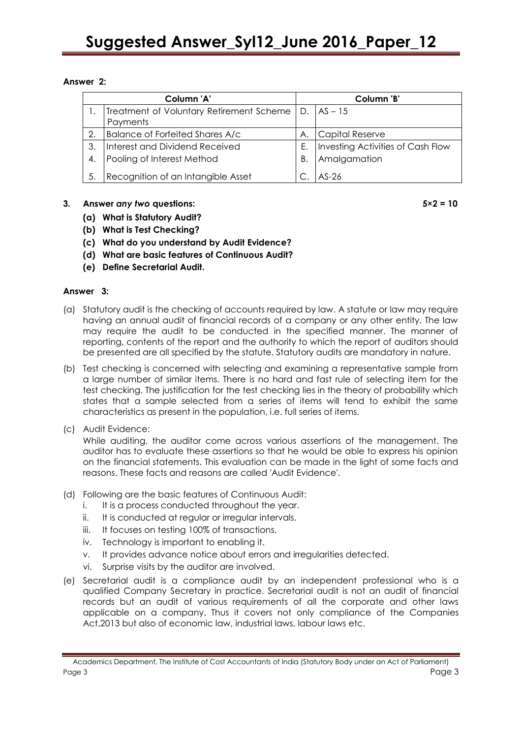# **Answer 2:**

| Column 'A' |                                                         | Column 'B' |                                   |
|------------|---------------------------------------------------------|------------|-----------------------------------|
|            | Treatment of Voluntary Retirement Scheme   D.   AS - 15 |            |                                   |
|            | Payments                                                |            |                                   |
| 2.         | Balance of Forfeited Shares A/c                         | А.         | Capital Reserve                   |
| 3.         | Interest and Dividend Received                          | Ε.         | Investing Activities of Cash Flow |
| 4.         | Pooling of Interest Method                              | В.         | Amalgamation                      |
| 5.         | Recognition of an Intangible Asset                      |            | $AS-26$                           |

# **3. Answer** *any two* **questions: 5×2 = 10**

- **(a) What is Statutory Audit?**
- **(b) What is Test Checking?**
- **(c) What do you understand by Audit Evidence?**
- **(d) What are basic features of Continuous Audit?**
- **(e) Define Secretarial Audit.**

# **Answer 3:**

- (a) Statutory audit is the checking of accounts required by law. A statute or law may require having an annual audit of financial records of a company or any other entity. The law may require the audit to be conducted in the specified manner. The manner of reporting, contents of the report and the authority to which the report of auditors should be presented are all specified by the statute. Statutory audits are mandatory in nature.
- (b) Test checking is concerned with selecting and examining a representative sample from a large number of similar items. There is no hard and fast rule of selecting item for the test checking. The justification for the test checking lies in the theory of probability which states that a sample selected from a series of items will tend to exhibit the same characteristics as present in the population, i.e. full series of items.
- (c) Audit Evidence:

While auditing, the auditor come across various assertions of the management. The auditor has to evaluate these assertions so that he would be able to express his opinion on the financial statements. This evaluation can be made in the light of some facts and reasons. These facts and reasons are called 'Audit Evidence'.

- (d) Following are the basic features of Continuous Audit:
	- i. It is a process conducted throughout the year.
	- ii. It is conducted at regular or irregular intervals.
	- iii. It focuses on testing 100% of transactions.
	- iv. Technology is important to enabling it.
	- v. It provides advance notice about errors and irregularities detected.
	- vi. Surprise visits by the auditor are involved.
- (e) Secretarial audit is a compliance audit by an independent professional who is a qualified Company Secretary in practice. Secretarial audit is not an audit of financial records but an audit of various requirements of all the corporate and other laws applicable on a company. Thus it covers not only compliance of the Companies Act,2013 but also of economic law, industrial laws, labour laws etc.

Academics Department, The Institute of Cost Accountants of India (Statutory Body under an Act of Parliament) Page 3 Page 3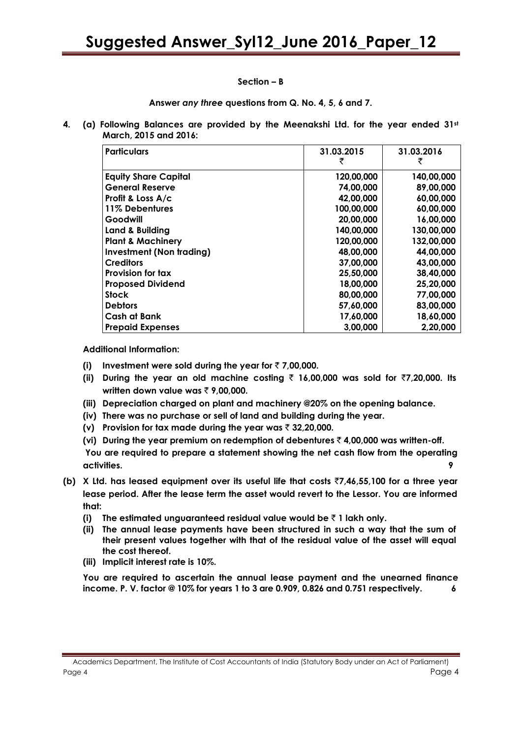#### **Section – B**

**Answer** *any three* **questions from Q. No. 4, 5, 6 and 7.**

**4. (a) Following Balances are provided by the Meenakshi Ltd. for the year ended 31st March, 2015 and 2016:**

| <b>Particulars</b>              | 31.03.2015<br>₹ | 31.03.2016 |
|---------------------------------|-----------------|------------|
| <b>Equity Share Capital</b>     | 120,00,000      | 140,00,000 |
| <b>General Reserve</b>          | 74,00,000       | 89,00,000  |
| Profit & Loss A/c               | 42,00,000       | 60,00,000  |
| 11% Debentures                  | 100,00,000      | 60,00,000  |
| Goodwill                        | 20,00,000       | 16,00,000  |
| Land & Building                 | 140,00,000      | 130,00,000 |
| <b>Plant &amp; Machinery</b>    | 120,00,000      | 132,00,000 |
| <b>Investment (Non trading)</b> | 48,00,000       | 44,00,000  |
| <b>Creditors</b>                | 37,00,000       | 43,00,000  |
| Provision for tax               | 25,50,000       | 38,40,000  |
| <b>Proposed Dividend</b>        | 18,00,000       | 25,20,000  |
| <b>Stock</b>                    | 80,00,000       | 77,00,000  |
| <b>Debtors</b>                  | 57,60,000       | 83,00,000  |
| Cash at Bank                    | 17,60,000       | 18,60,000  |
| <b>Prepaid Expenses</b>         | 3,00,000        | 2,20,000   |

**Additional Information:** 

- **(i) Investment were sold during the year for** ` **7,00,000.**
- **(ii)** During the year an old machine costing  $\bar{\tau}$  16,00,000 was sold for  $\bar{\tau}$ 7,20,000. Its **written down value was ₹ 9,00,000.**
- **(iii) Depreciation charged on plant and machinery @20% on the opening balance.**
- **(iv) There was no purchase or sell of land and building during the year.**
- **(v) Provision for tax made during the year was** ` **32,20,000.**
- **(vi) During the year premium on redemption of debentures** ` **4,00,000 was written-off.**

**You are required to prepare a statement showing the net cash flow from the operating activities. 9**

- **(b) X Ltd. has leased equipment over its useful life that costs** `**7,46,55,100 for a three year lease period. After the lease term the asset would revert to the Lessor. You are informed that:**
	- **(i)** The estimated unguaranteed residual value would be  $\bar{\tau}$  1 lakh only.
	- **(ii) The annual lease payments have been structured in such a way that the sum of their present values together with that of the residual value of the asset will equal the cost thereof.**
	- **(iii) Implicit interest rate is 10%.**

**You are required to ascertain the annual lease payment and the unearned finance income. P. V. factor @ 10% for years 1 to 3 are 0.909, 0.826 and 0.751 respectively. 6**

Academics Department, The Institute of Cost Accountants of India (Statutory Body under an Act of Parliament) Page 4 Page 4 Page 1 Page 1 Page 1 Page 1 Page 1 Page 1 Page 1 Page 1 Page 1 Page 1 Page 1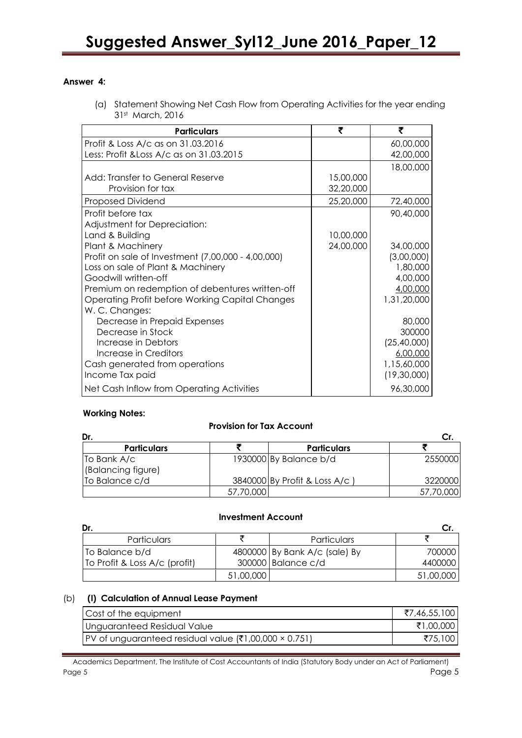## **Answer 4:**

(a) Statement Showing Net Cash Flow from Operating Activities for the year ending 31st March, 2016

| <b>Particulars</b>                                 | ₹         | ₹             |
|----------------------------------------------------|-----------|---------------|
| Profit & Loss A/c as on 31.03.2016                 |           | 60,00,000     |
| Less: Profit & Loss A/c as on 31.03.2015           |           | 42,00,000     |
|                                                    |           | 18,00,000     |
| Add: Transfer to General Reserve                   | 15,00,000 |               |
| Provision for tax                                  | 32,20,000 |               |
| Proposed Dividend                                  | 25,20,000 | 72,40,000     |
| Profit before tax                                  |           | 90,40,000     |
| Adjustment for Depreciation:                       |           |               |
| Land & Building                                    | 10,00,000 |               |
| Plant & Machinery                                  | 24,00,000 | 34,00,000     |
| Profit on sale of Investment (7,00,000 - 4,00,000) |           | (3,00,000)    |
| Loss on sale of Plant & Machinery                  |           | 1,80,000      |
| Goodwill written-off                               |           | 4,00,000      |
| Premium on redemption of debentures written-off    |           | 4,00,000      |
| Operating Profit before Working Capital Changes    |           | 1,31,20,000   |
| W. C. Changes:                                     |           |               |
| Decrease in Prepaid Expenses                       |           | 80,000        |
| Decrease in Stock                                  |           | 300000        |
| Increase in Debtors                                |           | (25, 40, 000) |
| Increase in Creditors                              |           | 6,00,000      |
| Cash generated from operations                     |           | 1,15,60,000   |
| Income Tax paid                                    |           | (19,30,000)   |
| Net Cash Inflow from Operating Activities          |           | 96,30,000     |

# **Working Notes:**

# **Provision for Tax Account**

| Dr.                        |           |                              |           |
|----------------------------|-----------|------------------------------|-----------|
| <b>Particulars</b>         |           | <b>Particulars</b>           |           |
| $\overline{I}$ To Bank A/c |           | 1930000 By Balance b/d       | 2550000   |
| (Balancing figure)         |           |                              |           |
| To Balance c/d             |           | 3840000 By Profit & Loss A/c | 3220000   |
|                            | 57,70,000 |                              | 57,70,000 |

#### **Investment Account**

| Dr.                           |           |                               |           |
|-------------------------------|-----------|-------------------------------|-----------|
| <b>Particulars</b>            |           | Particulars                   |           |
| To Balance b/d                |           | 4800000 By Bank A/c (sale) By | 700000    |
| To Profit & Loss A/c (profit) |           | 300000 Balance c/d            | 4400000   |
|                               | 51,00,000 |                               | 51,00,000 |

# (b) **(I) Calculation of Annual Lease Payment**

| Cost of the equipment                                    | ₹7,46,55,100 |
|----------------------------------------------------------|--------------|
| Unguaranteed Residual Value                              | ₹1,00,000    |
| $ PV$ of unguaranteed residual value (₹1,00,000 × 0.751) | ₹75,100      |

Academics Department, The Institute of Cost Accountants of India (Statutory Body under an Act of Parliament) Page 5 Page 5 Page 1 Page 1 Page 1 Page 1 Page 1 Page 1 Page 1 Page 1 Page 1 Page 1 Page 1 Page 1 Page 1 Page 1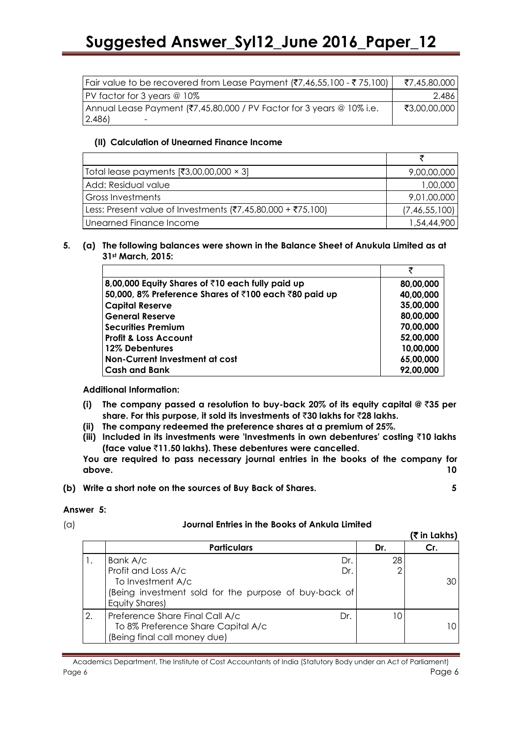| $\vert$ Fair value to be recovered from Lease Payment (₹7,46,55,100 - ₹75,100) | ₹7,45,80,000 |
|--------------------------------------------------------------------------------|--------------|
| PV factor for 3 years @ 10%                                                    | 2.486        |
| Annual Lease Payment (₹7,45,80,000 / PV Factor for 3 years @ 10% i.e.          | ₹3,00,00,000 |
| (2.486)                                                                        |              |

## **(II) Calculation of Unearned Finance Income**

| Total lease payments $[₹3,00,00,000 \times 3]$              | 9,00,00,000   |
|-------------------------------------------------------------|---------------|
| Add: Residual value                                         | 1,00,000      |
| <b>Gross Investments</b>                                    | 9,01,00,000   |
| Less: Present value of Investments (₹7,45,80,000 + ₹75,100) | (7,46,55,100) |
| Unearned Finance Income                                     | 1,54,44,900   |

#### **5. (a) The following balances were shown in the Balance Sheet of Anukula Limited as at 31st March, 2015:**

| 8,00,000 Equity Shares of ₹10 each fully paid up      | 80,00,000 |
|-------------------------------------------------------|-----------|
| 50,000, 8% Preference Shares of ₹100 each ₹80 paid up | 40,00,000 |
| <b>Capital Reserve</b>                                | 35,00,000 |
| <b>General Reserve</b>                                | 80,00,000 |
| <b>Securities Premium</b>                             | 70,00,000 |
| <b>Profit &amp; Loss Account</b>                      | 52,00,000 |
| 12% Debentures                                        | 10,00,000 |
| Non-Current Investment at cost                        | 65,00,000 |
| <b>Cash and Bank</b>                                  | 92,00,000 |

**Additional Information:**

- **(i) The company passed a resolution to buy-back 20% of its equity capital @** `**35 per share. For this purpose, it sold its investments of** `**30 lakhs for** `**28 lakhs.**
- **(ii) The company redeemed the preference shares at a premium of 25%.**
- **(iii) Included in its investments were 'Investments in own debentures' costing** `**10 lakhs (face value** `**11.50 lakhs). These debentures were cancelled.**

**You are required to pass necessary journal entries in the books of the company for above. 10**

**(b) Write a short note on the sources of Buy Back of Shares. 5**

#### **Answer 5:**

#### (a) **Journal Entries in the Books of Ankula Limited**

|    |                                                                                                                                               |     | (₹ in Lakhs) |
|----|-----------------------------------------------------------------------------------------------------------------------------------------------|-----|--------------|
|    | <b>Particulars</b>                                                                                                                            | Dr. | Cr.          |
|    | Bank A/c<br>Dr.<br>Profit and Loss A/c<br>Dr.<br>To Investment A/c<br>(Being investment sold for the purpose of buy-back of<br>Equity Shares) | 28  | 30           |
| 2. | Preference Share Final Call A/c<br>Dr.<br>To 8% Preference Share Capital A/c<br>(Being final call money due)                                  | 10  |              |

Academics Department, The Institute of Cost Accountants of India (Statutory Body under an Act of Parliament) Page 6 Page 6 Page 7 Page 8 Page 8 Page 8 Page 8 Page 8 Page 8 Page 8 Page 8 Page 8 Page 8 Page 8 Page 8 Page 8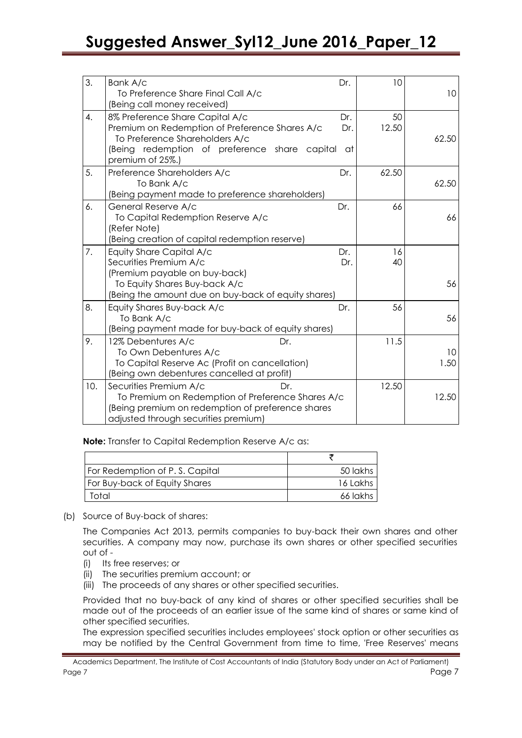| 3.  | Bank A/c<br>To Preference Share Final Call A/c<br>(Being call money received)                                                                                                            | Dr.              | 10          | 10         |
|-----|------------------------------------------------------------------------------------------------------------------------------------------------------------------------------------------|------------------|-------------|------------|
| 4.  | 8% Preference Share Capital A/c<br>Premium on Redemption of Preference Shares A/c<br>To Preference Shareholders A/c<br>(Being redemption of preference share capital<br>premium of 25%.) | Dr.<br>Dr.<br>at | 50<br>12.50 | 62.50      |
| 5.  | Preference Shareholders A/c<br>To Bank A/c<br>(Being payment made to preference shareholders)                                                                                            | Dr.              | 62.50       | 62.50      |
| 6.  | General Reserve A/c<br>To Capital Redemption Reserve A/c<br>(Refer Note)<br>(Being creation of capital redemption reserve)                                                               | Dr.              | 66          | 66         |
| 7.  | Equity Share Capital A/c<br>Securities Premium A/c<br>(Premium payable on buy-back)<br>To Equity Shares Buy-back A/c<br>(Being the amount due on buy-back of equity shares)              | Dr.<br>Dr.       | 16<br>40    | 56         |
| 8.  | Equity Shares Buy-back A/c<br>To Bank A/c<br>(Being payment made for buy-back of equity shares)                                                                                          | Dr.              | 56          | 56         |
| 9.  | 12% Debentures A/c<br>Dr.<br>To Own Debentures A/c<br>To Capital Reserve Ac (Profit on cancellation)<br>(Being own debentures cancelled at profit)                                       |                  | 11.5        | 10<br>1.50 |
| 10. | Securities Premium A/c<br>Dr.<br>To Premium on Redemption of Preference Shares A/c<br>(Being premium on redemption of preference shares<br>adjusted through securities premium)          |                  | 12.50       | 12.50      |

**Note:** Transfer to Capital Redemption Reserve A/c as:

| For Redemption of P.S. Capital       | 50 lakhs |
|--------------------------------------|----------|
| <b>For Buy-back of Equity Shares</b> | 16 Lakhs |
| Total                                | 66 lakhs |

(b) Source of Buy-back of shares:

The Companies Act 2013, permits companies to buy-back their own shares and other securities. A company may now, purchase its own shares or other specified securities out of -

- (i) Its free reserves; or
- (ii) The securities premium account; or
- (iii) The proceeds of any shares or other specified securities.

Provided that no buy-back of any kind of shares or other specified securities shall be made out of the proceeds of an earlier issue of the same kind of shares or same kind of other specified securities.

The expression specified securities includes employees' stock option or other securities as may be notified by the Central Government from time to time, 'Free Reserves' means

Academics Department, The Institute of Cost Accountants of India (Statutory Body under an Act of Parliament) Page 7 Page 7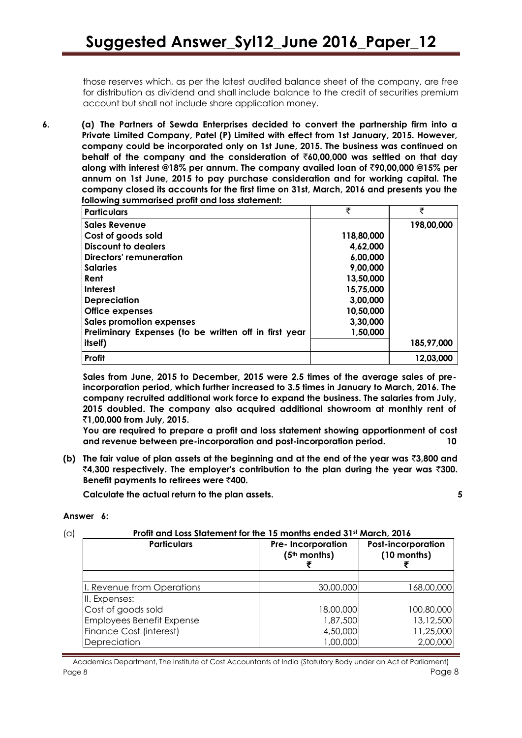those reserves which, as per the latest audited balance sheet of the company, are free for distribution as dividend and shall include balance to the credit of securities premium account but shall not include share application money.

**6. (a) The Partners of Sewda Enterprises decided to convert the partnership firm into a Private Limited Company, Patel (P) Limited with effect from 1st January, 2015. However, company could be incorporated only on 1st June, 2015. The business was continued on behalf of the company and the consideration of** `**60,00,000 was settled on that day along with interest @18% per annum. The company availed loan of** `**90,00,000 @15% per annum on 1st June, 2015 to pay purchase consideration and for working capital. The company closed its accounts for the first time on 31st, March, 2016 and presents you the following summarised profit and loss statement:**

| <b>Particulars</b>                                    | ₹          | ₹          |
|-------------------------------------------------------|------------|------------|
| <b>Sales Revenue</b>                                  |            | 198,00,000 |
| Cost of goods sold                                    | 118,80,000 |            |
| Discount to dealers                                   | 4,62,000   |            |
| Directors' remuneration                               | 6,00,000   |            |
| <b>Salaries</b>                                       | 9,00,000   |            |
| Rent                                                  | 13,50,000  |            |
| <b>Interest</b>                                       | 15,75,000  |            |
| <b>Depreciation</b>                                   | 3,00,000   |            |
| <b>Office expenses</b>                                | 10,50,000  |            |
| <b>Sales promotion expenses</b>                       | 3,30,000   |            |
| Preliminary Expenses (to be written off in first year | 1,50,000   |            |
| itself)                                               |            | 185,97,000 |
| Profit                                                |            | 12,03,000  |

**Sales from June, 2015 to December, 2015 were 2.5 times of the average sales of preincorporation period, which further increased to 3.5 times in January to March, 2016. The company recruited additional work force to expand the business. The salaries from July, 2015 doubled. The company also acquired additional showroom at monthly rent of**  `**1,00,000 from July, 2015.**

**You are required to prepare a profit and loss statement showing apportionment of cost and revenue between pre-incorporation and post-incorporation period. 10**

**(b) The fair value of plan assets at the beginning and at the end of the year was** `**3,800 and**  `**4,300 respectively. The employer's contribution to the plan during the year was** `**300. Benefit payments to retirees were** `**400.**

**Calculate the actual return to the plan assets. 5**

#### **Answer 6:**

#### (a) **Profit and Loss Statement for the 15 months ended 31st March, 2016**

| <b>Particulars</b>               | <b>Pre-Incorporation</b><br>$(5th$ months) | <b>Post-incorporation</b><br>(10 months) |
|----------------------------------|--------------------------------------------|------------------------------------------|
|                                  |                                            |                                          |
| I. Revenue from Operations       | 30,00,000                                  | 168,00,000                               |
| II. Expenses:                    |                                            |                                          |
| Cost of goods sold               | 18,00,000                                  | 100,80,000                               |
| <b>Employees Benefit Expense</b> | 1,87,500                                   | 13,12,500                                |
| Finance Cost (interest)          | 4,50,000                                   | 11,25,000                                |
| Depreciation                     | 1,00,000                                   | 2,00,000                                 |

Academics Department, The Institute of Cost Accountants of India (Statutory Body under an Act of Parliament) Page 8 Page 8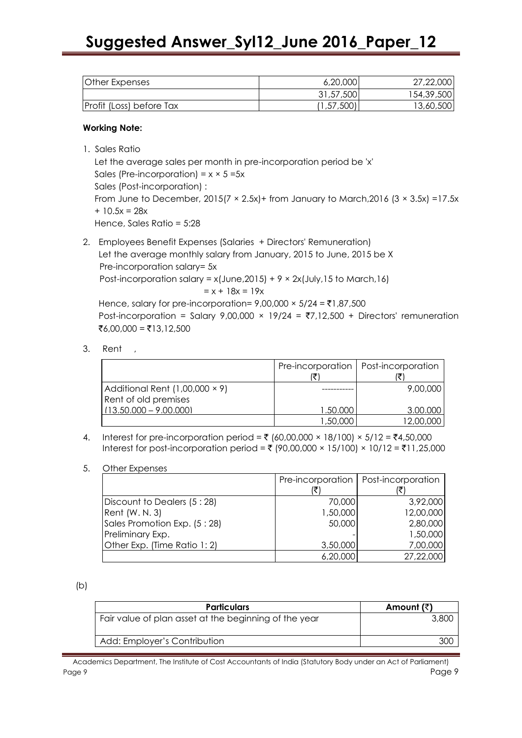| <b>Other Expenses</b>    | 6,20,000   | 27,22,000  |
|--------------------------|------------|------------|
|                          | 31,57,500  | 154,39,500 |
| Profit (Loss) before Tax | (1,57,500) | 13,60,500  |

#### **Working Note:**

1. Sales Ratio

Let the average sales per month in pre-incorporation period be 'x' Sales (Pre-incorporation) =  $x \times 5 = 5x$ Sales (Post-incorporation) : From June to December,  $2015(7 \times 2.5x)$  + from January to March,  $2016(3 \times 3.5x)$  =17.5x  $+ 10.5x = 28x$ Hence, Sales Ratio = 5:28

- 2. Employees Benefit Expenses (Salaries + Directors' Remuneration) Let the average monthly salary from January, 2015 to June, 2015 be X Pre-incorporation salary= 5x Post-incorporation salary =  $x$ (June, 2015) + 9  $\times$  2x(July, 15 to March, 16)  $= x + 18x = 19x$ Hence, salary for pre-incorporation=  $9,00,000 \times 5/24 = \text{\texte}1,87,500$ Post-incorporation = Salary 9,00,000  $\times$  19/24 = ₹7,12,500 + Directors' remuneration  $\overline{x}6,00,000 = \overline{x}13,12,500$
- 3. Rent ,

|                                       |           | Pre-incorporation   Post-incorporation |
|---------------------------------------|-----------|----------------------------------------|
| Additional Rent $(1,00,000 \times 9)$ |           | 9,00,000                               |
| Rent of old premises                  |           |                                        |
| $(13.50.000 - 9.00.000)$              | 1.50.000  | 3.00.000                               |
|                                       | .50،000 ا | 12,00,000                              |

4. Interest for pre-incorporation period = ₹ (60,00,000 × 18/100) × 5/12 = ₹4,50,000 Interest for post-incorporation period = ₹ (90,00,000 × 15/100) × 10/12 = ₹11,25,000

#### 5. Other Expenses

|                              | Pre-incorporation | Post-incorporation |
|------------------------------|-------------------|--------------------|
|                              |                   |                    |
| Discount to Dealers (5:28)   | 70,000            | 3,92,000           |
| Rent (W. N. 3)               | 1,50,000          | 12,00,000          |
| Sales Promotion Exp. (5:28)  | 50,000            | 2,80,000           |
| Preliminary Exp.             |                   | 1,50,000           |
| Other Exp. (Time Ratio 1: 2) | 3,50,000          | 7,00,000           |
|                              | 6,20,000          | 27,22,000          |

(b)

| <b>Particulars</b>                                    | Amount (₹) |
|-------------------------------------------------------|------------|
| Fair value of plan asset at the beginning of the year |            |
| Add: Employer's Contribution                          |            |

Academics Department, The Institute of Cost Accountants of India (Statutory Body under an Act of Parliament) Page 9 Page 9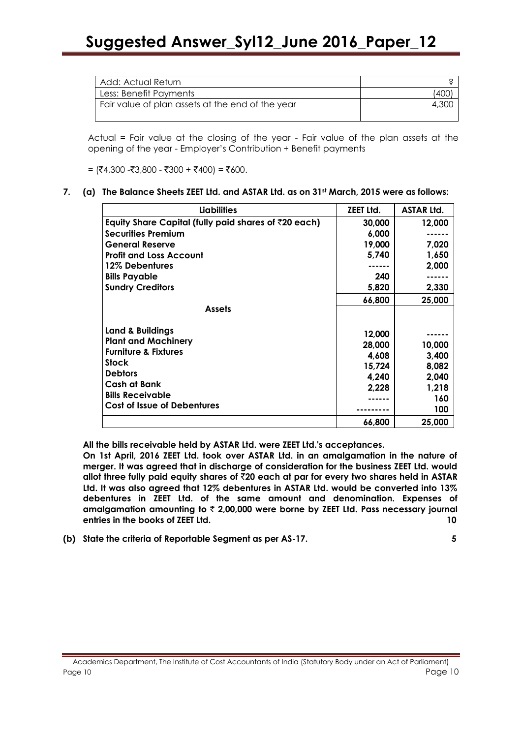| Add: Actual Return                               |       |
|--------------------------------------------------|-------|
| Less: Benefit Payments                           |       |
| Fair value of plan assets at the end of the year | 4.300 |
|                                                  |       |

Actual = Fair value at the closing of the year - Fair value of the plan assets at the opening of the year - Employer's Contribution + Benefit payments

 $=$  (₹4,300 -₹3,800 - ₹300 + ₹400) = ₹600.

**7. (a) The Balance Sheets ZEET Ltd. and ASTAR Ltd. as on 31st March, 2015 were as follows:**

| <b>Liabilities</b>                                               | ZEET Ltd.        | <b>ASTAR Ltd.</b> |
|------------------------------------------------------------------|------------------|-------------------|
| Equity Share Capital (fully paid shares of $\bar{\tau}$ 20 each) | 30,000           | 12,000            |
| <b>Securities Premium</b>                                        | 6,000            |                   |
| <b>General Reserve</b>                                           | 19,000           | 7,020             |
| <b>Profit and Loss Account</b>                                   | 5,740            | 1,650             |
| 12% Debentures                                                   |                  | 2,000             |
| <b>Bills Payable</b>                                             | 240              |                   |
| <b>Sundry Creditors</b>                                          | 5,820            | 2,330             |
|                                                                  | 66,800           | 25,000            |
| <b>Assets</b>                                                    |                  |                   |
| <b>Land &amp; Buildings</b>                                      |                  |                   |
| <b>Plant and Machinery</b>                                       | 12,000<br>28,000 | 10,000            |
| <b>Furniture &amp; Fixtures</b>                                  | 4,608            | 3,400             |
| <b>Stock</b>                                                     | 15,724           | 8,082             |
| <b>Debtors</b>                                                   | 4,240            | 2,040             |
| Cash at Bank                                                     | 2,228            | 1,218             |
| <b>Bills Receivable</b>                                          |                  | 160               |
| <b>Cost of Issue of Debentures</b>                               |                  | 100               |
|                                                                  | 66,800           | 25,000            |

**All the bills receivable held by ASTAR Ltd. were ZEET Ltd.'s acceptances.**

**On 1st April, 2016 ZEET Ltd. took over ASTAR Ltd. in an amalgamation in the nature of merger. It was agreed that in discharge of consideration for the business ZEET Ltd. would allot three fully paid equity shares of** `**20 each at par for every two shares held in ASTAR Ltd. It was also agreed that 12% debentures in ASTAR Ltd. would be converted into 13% debentures in ZEET Ltd. of the same amount and denomination. Expenses of amalgamation amounting to** ` **2,00,000 were borne by ZEET Ltd. Pass necessary journal entries in the books of ZEET Ltd. 10**

**(b) State the criteria of Reportable Segment as per AS-17. 5**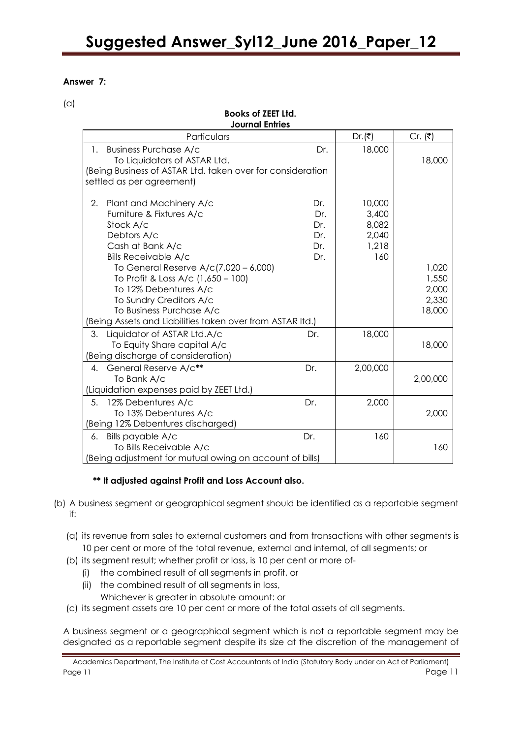**Books of ZEET Ltd.**

# **Answer 7:**

 $(a)$ 

| וטוו וובגו טו געשטע<br><b>Journal Entries</b>                                                                                                                                                                                                                                                                                                                       |                                        |                                                   |                                            |
|---------------------------------------------------------------------------------------------------------------------------------------------------------------------------------------------------------------------------------------------------------------------------------------------------------------------------------------------------------------------|----------------------------------------|---------------------------------------------------|--------------------------------------------|
| Particulars                                                                                                                                                                                                                                                                                                                                                         |                                        | Dr. $( ₹)$                                        | Cr. $( ₹)$                                 |
| <b>Business Purchase A/c</b><br>$\mathbf{1}$ .<br>To Liquidators of ASTAR Ltd.<br>(Being Business of ASTAR Ltd. taken over for consideration<br>settled as per agreement)                                                                                                                                                                                           | Dr.                                    | 18,000                                            | 18,000                                     |
| 2.<br>Plant and Machinery A/c<br>Furniture & Fixtures A/c<br>Stock A/c<br>Debtors A/c<br>Cash at Bank A/c<br><b>Bills Receivable A/c</b><br>To General Reserve A/c(7,020 - 6,000)<br>To Profit & Loss A/c (1,650 - 100)<br>To 12% Debentures A/c<br>To Sundry Creditors A/c<br>To Business Purchase A/c<br>Being Assets and Liabilities taken over from ASTAR Itd.) | Dr.<br>Dr.<br>Dr.<br>Dr.<br>Dr.<br>Dr. | 10,000<br>3,400<br>8,082<br>2,040<br>1,218<br>160 | 1,020<br>1,550<br>2,000<br>2,330<br>18,000 |
| Liquidator of ASTAR Ltd.A/c<br>3.<br>To Equity Share capital A/c<br>(Being discharge of consideration)                                                                                                                                                                                                                                                              | Dr.                                    | 18,000                                            | 18,000                                     |
| 4. General Reserve A/c**<br>To Bank A/c<br>(Liquidation expenses paid by ZEET Ltd.)                                                                                                                                                                                                                                                                                 | Dr.                                    | 2,00,000                                          | 2,00,000                                   |
| 5. 12% Debentures A/c<br>To 13% Debentures A/c<br>(Being 12% Debentures discharged)                                                                                                                                                                                                                                                                                 | Dr.                                    | 2,000                                             | 2,000                                      |
| Bills payable A/c<br>6.<br>To Bills Receivable A/c<br>(Being adjustment for mutual owing on account of bills)                                                                                                                                                                                                                                                       | Dr.                                    | 160                                               | 160                                        |

# **\*\* It adjusted against Profit and Loss Account also.**

- (b) A business segment or geographical segment should be identified as a reportable segment if:
	- (a) its revenue from sales to external customers and from transactions with other segments is 10 per cent or more of the total revenue, external and internal, of all segments; or
	- (b) its segment result; whether profit or loss, is 10 per cent or more of-
		- (i) the combined result of all segments in profit, or
		- (ii) the combined result of all segments in loss,
			- Whichever is greater in absolute amount: or
	- (c) its segment assets are 10 per cent or more of the total assets of all segments.

A business segment or a geographical segment which is not a reportable segment may be designated as a reportable segment despite its size at the discretion of the management of

Academics Department, The Institute of Cost Accountants of India (Statutory Body under an Act of Parliament) Page 11 Page 11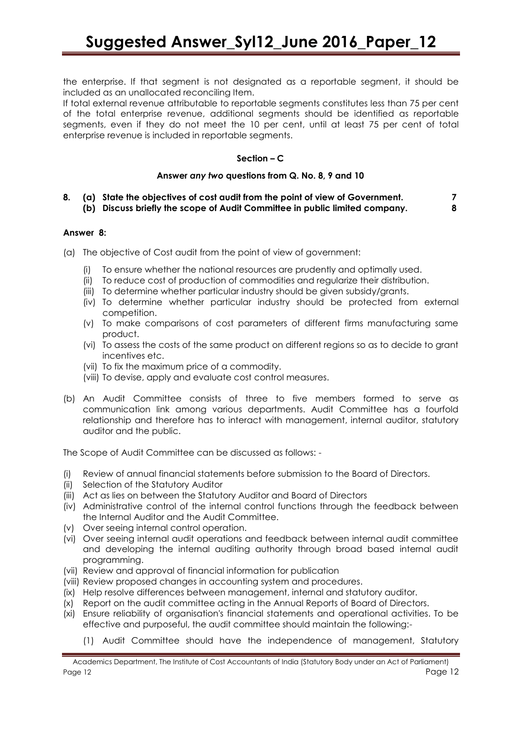the enterprise. If that segment is not designated as a reportable segment, it should be included as an unallocated reconciling Item.

If total external revenue attributable to reportable segments constitutes less than 75 per cent of the total enterprise revenue, additional segments should be identified as reportable segments, even if they do not meet the 10 per cent, until at least 75 per cent of total enterprise revenue is included in reportable segments.

## **Section – C**

#### **Answer** *any two* **questions from Q. No. 8, 9 and 10**

**8. (a) State the objectives of cost audit from the point of view of Government. 7 (b) Discuss briefly the scope of Audit Committee in public limited company. 8**

#### **Answer 8:**

- (a) The objective of Cost audit from the point of view of government:
	- To ensure whether the national resources are prudently and optimally used.
	- (ii) To reduce cost of production of commodities and regularize their distribution.
	- (iii) To determine whether particular industry should be given subsidy/grants.
	- (iv) To determine whether particular industry should be protected from external competition.
	- (v) To make comparisons of cost parameters of different firms manufacturing same product.
	- (vi) To assess the costs of the same product on different regions so as to decide to grant incentives etc.
	- (vii) To fix the maximum price of a commodity.
	- (viii) To devise, apply and evaluate cost control measures.
- (b) An Audit Committee consists of three to five members formed to serve as communication link among various departments. Audit Committee has a fourfold relationship and therefore has to interact with management, internal auditor, statutory auditor and the public.

The Scope of Audit Committee can be discussed as follows: -

- (i) Review of annual financial statements before submission to the Board of Directors.
- (ii) Selection of the Statutory Auditor
- (iii) Act as lies on between the Statutory Auditor and Board of Directors
- (iv) Administrative control of the internal control functions through the feedback between the Internal Auditor and the Audit Committee.
- (v) Over seeing internal control operation.
- (vi) Over seeing internal audit operations and feedback between internal audit committee and developing the internal auditing authority through broad based internal audit programming.
- (vii) Review and approval of financial information for publication
- (viii) Review proposed changes in accounting system and procedures.
- (ix) Help resolve differences between management, internal and statutory auditor.
- (x) Report on the audit committee acting in the Annual Reports of Board of Directors.
- (xi) Ensure reliability of organisation's financial statements and operational activities. To be effective and purposeful, the audit committee should maintain the following:-
	- (1) Audit Committee should have the independence of management, Statutory

Academics Department, The Institute of Cost Accountants of India (Statutory Body under an Act of Parliament) Page 12 Page 12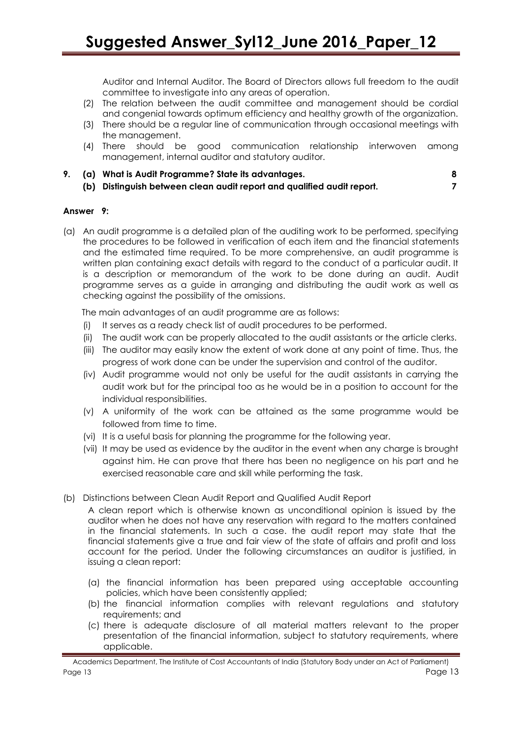Auditor and Internal Auditor. The Board of Directors allows full freedom to the audit committee to investigate into any areas of operation.

- (2) The relation between the audit committee and management should be cordial and congenial towards optimum efficiency and healthy growth of the organization.
- (3) There should be a regular line of communication through occasional meetings with the management.
- (4) There should be good communication relationship interwoven among management, internal auditor and statutory auditor.
- **9. (a) What is Audit Programme? State its advantages. 8**
	- **(b) Distinguish between clean audit report and qualified audit report. 7**

# **Answer 9:**

(a) An audit programme is a detailed plan of the auditing work to be performed, specifying the procedures to be followed in verification of each item and the financial statements and the estimated time required. To be more comprehensive, an audit programme is written plan containing exact details with regard to the conduct of a particular audit. It is a description or memorandum of the work to be done during an audit. Audit programme serves as a guide in arranging and distributing the audit work as well as checking against the possibility of the omissions.

The main advantages of an audit programme are as follows:

- (i) It serves as a ready check list of audit procedures to be performed.
- (ii) The audit work can be properly allocated to the audit assistants or the article clerks.
- (iii) The auditor may easily know the extent of work done at any point of time. Thus, the progress of work done can be under the supervision and control of the auditor.
- (iv) Audit programme would not only be useful for the audit assistants in carrying the audit work but for the principal too as he would be in a position to account for the individual responsibilities.
- (v) A uniformity of the work can be attained as the same programme would be followed from time to time.
- (vi) It is a useful basis for planning the programme for the following year.
- (vii) It may be used as evidence by the auditor in the event when any charge is brought against him. He can prove that there has been no negligence on his part and he exercised reasonable care and skill while performing the task.
- (b) Distinctions between Clean Audit Report and Qualified Audit Report

A clean report which is otherwise known as unconditional opinion is issued by the auditor when he does not have any reservation with regard to the matters contained in the financial statements. In such a case. the audit report may state that the financial statements give a true and fair view of the state of affairs and profit and loss account for the period. Under the following circumstances an auditor is justified, in issuing a clean report:

- (a) the financial information has been prepared using acceptable accounting policies, which have been consistently applied;
- (b) the financial information complies with relevant regulations and statutory requirements; and
- (c) there is adequate disclosure of all material matters relevant to the proper presentation of the financial information, subject to statutory requirements, where applicable.

Academics Department, The Institute of Cost Accountants of India (Statutory Body under an Act of Parliament) Page 13 Page 13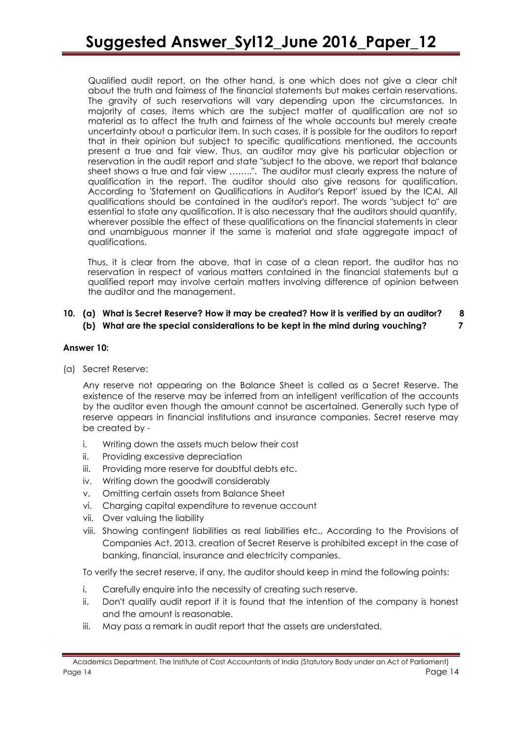Qualified audit report, on the other hand, is one which does not give a clear chit about the truth and fairness of the financial statements but makes certain reservations. The gravity of such reservations will vary depending upon the circumstances. In majority of cases, items which are the subject matter of qualification are not so material as to affect the truth and fairness of the whole accounts but merely create uncertainty about a particular item. In such cases, it is possible for the auditors to report that in their opinion but subject to specific qualifications mentioned, the accounts present a true and fair view. Thus, an auditor may give his particular objection or reservation in the audit report and state "subject to the above, we report that balance sheet shows a true and fair view ……..". The auditor must clearly express the nature of qualification in the report. The auditor should also give reasons for qualification. According to 'Statement on Qualifications in Auditor's Report' issued by the ICAI. All qualifications should be contained in the auditor's report. The words "subject to" are essential to state any qualification. It is also necessary that the auditors should quantify, wherever possible the effect of these qualifications on the financial statements in clear and unambiguous manner if the same is material and state aggregate impact of qualifications.

Thus, it is clear from the above, that in case of a clean report, the auditor has no reservation in respect of various matters contained in the financial statements but a qualified report may involve certain matters involving difference of opinion between the auditor and the management.

# **10. (a) What is Secret Reserve? How it may be created? How it is verified by an auditor? 8 (b) What are the special considerations to be kept in the mind during vouching? 7**

# **Answer 10:**

(a) Secret Reserve:

Any reserve not appearing on the Balance Sheet is called as a Secret Reserve. The existence of the reserve may be inferred from an intelligent verification of the accounts by the auditor even though the amount cannot be ascertained. Generally such type of reserve appears in financial institutions and insurance companies. Secret reserve may be created by -

- i. Writing down the assets much below their cost
- ii. Providing excessive depreciation
- iii. Providing more reserve for doubtful debts etc.
- iv. Writing down the goodwill considerably
- v. Omitting certain assets from Balance Sheet
- vi. Charging capital expenditure to revenue account
- vii. Over valuing the liability
- viii. Showing contingent liabilities as real liabilities etc., According to the Provisions of Companies Act, 2013, creation of Secret Reserve is prohibited except in the case of banking, financial, insurance and electricity companies.

To verify the secret reserve, if any, the auditor should keep in mind the following points:

- i. Carefully enquire into the necessity of creating such reserve.
- ii. Don't qualify audit report if it is found that the intention of the company is honest and the amount is reasonable.
- iii. May pass a remark in audit report that the assets are understated,

Academics Department, The Institute of Cost Accountants of India (Statutory Body under an Act of Parliament) Page 14 Page 14